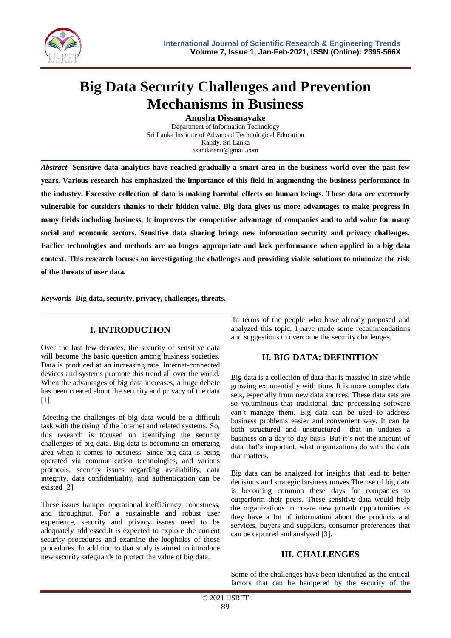

# **Big Data Security Challenges and Prevention Mechanisms in Business**

**Anusha Dissanayake** Department of Information Technology Sri Lanka Institute of Advanced Technological Education Kandy, Sri Lanka asandarenu@gmail.com

*Abstract-* **Sensitive data analytics have reached gradually a smart area in the business world over the past few years. Various research has emphasized the importance of this field in augmenting the business performance in the industry. Excessive collection of data is making harmful effects on human beings. These data are extremely vulnerable for outsiders thanks to their hidden value. Big data gives us more advantages to make progress in many fields including business. It improves the competitive advantage of companies and to add value for many social and economic sectors. Sensitive data sharing brings new information security and privacy challenges. Earlier technologies and methods are no longer appropriate and lack performance when applied in a big data context. This research focuses on investigating the challenges and providing viable solutions to minimize the risk of the threats of user data.**

*Keywords***- Big data, security, privacy, challenges, threats.**

# **I. INTRODUCTION**

Over the last few decades, the security of sensitive data will become the basic question among business societies. Data is produced at an increasing rate. Internet-connected devices and systems promote this trend all over the world. When the advantages of big data increases, a huge debate has been created about the security and privacy of the data [1].

Meeting the challenges of big data would be a difficult task with the rising of the Internet and related systems. So, this research is focused on identifying the security challenges of big data. Big data is becoming an emerging area when it comes to business. Since big data is being operated via communication technologies, and various protocols, security issues regarding availability, data integrity, data confidentiality, and authentication can be existed [2].

These issues hamper operational inefficiency, robustness, and throughput. For a sustainable and robust user experience, security and privacy issues need to be adequately addressed.It is expected to explore the current security procedures and examine the loopholes of those procedures. In addition to that study is aimed to introduce new security safeguards to protect the value of big data.

In terms of the people who have already proposed and analyzed this topic, I have made some recommendations and suggestions to overcome the security challenges.

#### **II. BIG DATA: DEFINITION**

Big data is a collection of data that is massive in size while growing exponentially with time. It is more complex data sets, especially from new data sources. These data sets are so voluminous that traditional data processing software can't manage them. Big data can be used to address business problems easier and convenient way. It can be both structured and unstructured– that in undates a business on a day-to-day basis. But it's not the amount of data that's important, what organizations do with the data that matters.

Big data can be analyzed for insights that lead to better decisions and strategic business moves.The use of big data is becoming common these days for companies to outperform their peers. These sensitive data would help the organizations to create new growth opportunities as they have a lot of information about the products and services, buyers and suppliers, consumer preferences that can be captured and analysed [3].

# **III. CHALLENGES**

Some of the challenges have been identified as the critical factors that can be hampered by the security of the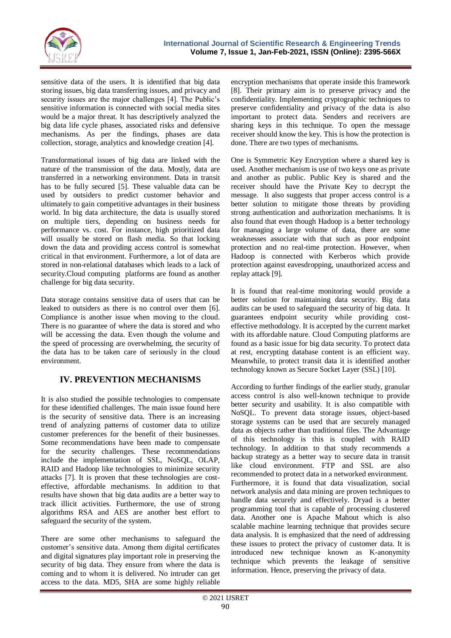

sensitive data of the users. It is identified that big data storing issues, big data transferring issues, and privacy and security issues are the major challenges [4]. The Public's sensitive information is connected with social media sites would be a major threat. It has descriptively analyzed the big data life cycle phases, associated risks and defensive mechanisms. As per the findings, phases are data collection, storage, analytics and knowledge creation [4].

Transformational issues of big data are linked with the nature of the transmission of the data. Mostly, data are transferred in a networking environment. Data in transit has to be fully secured [5]. These valuable data can be used by outsiders to predict customer behavior and ultimately to gain competitive advantages in their business world. In big data architecture, the data is usually stored on multiple tiers, depending on business needs for performance vs. cost. For instance, high prioritized data will usually be stored on flash media. So that locking down the data and providing access control is somewhat critical in that environment. Furthermore, a lot of data are stored in non-relational databases which leads to a lack of security.Cloud computing platforms are found as another challenge for big data security.

Data storage contains sensitive data of users that can be leaked to outsiders as there is no control over them [6]. Compliance is another issue when moving to the cloud. There is no guarantee of where the data is stored and who will be accessing the data. Even though the volume and the speed of processing are overwhelming, the security of the data has to be taken care of seriously in the cloud environment.

# **IV. PREVENTION MECHANISMS**

It is also studied the possible technologies to compensate for these identified challenges. The main issue found here is the security of sensitive data. There is an increasing trend of analyzing patterns of customer data to utilize customer preferences for the benefit of their businesses. Some recommendations have been made to compensate for the security challenges. These recommendations include the implementation of SSL, NoSQL, OLAP, RAID and Hadoop like technologies to minimize security attacks [7]. It is proven that these technologies are costeffective, affordable mechanisms. In addition to that results have shown that big data audits are a better way to track illicit activities. Furthermore, the use of strong algorithms RSA and AES are another best effort to safeguard the security of the system.

There are some other mechanisms to safeguard the customer's sensitive data. Among them digital certificates and digital signatures play important role in preserving the security of big data. They ensure from where the data is coming and to whom it is delivered. No intruder can get access to the data. MD5, SHA are some highly reliable

encryption mechanisms that operate inside this framework [8]. Their primary aim is to preserve privacy and the confidentiality. Implementing cryptographic techniques to preserve confidentiality and privacy of the data is also important to protect data. Senders and receivers are sharing keys in this technique. To open the message receiver should know the key. This is how the protection is done. There are two types of mechanisms.

One is Symmetric Key Encryption where a shared key is used. Another mechanism is use of two keys one as private and another as public. Public Key is shared and the receiver should have the Private Key to decrypt the message. It also suggests that proper access control is a better solution to mitigate those threats by providing strong authentication and authorization mechanisms. It is also found that even though Hadoop is a better technology for managing a large volume of data, there are some weaknesses associate with that such as poor endpoint protection and no real-time protection. However, when Hadoop is connected with Kerberos which provide protection against eavesdropping, unauthorized access and replay attack [9].

It is found that real-time monitoring would provide a better solution for maintaining data security. Big data audits can be used to safeguard the security of big data. It guarantees endpoint security while providing costeffective methodology. It is accepted by the current market with its affordable nature. Cloud Computing platforms are found as a basic issue for big data security. To protect data at rest, encrypting database content is an efficient way. Meanwhile, to protect transit data it is identified another technology known as Secure Socket Layer (SSL) [10].

According to further findings of the earlier study, granular access control is also well-known technique to provide better security and usability. It is also compatible with NoSQL. To prevent data storage issues, object-based storage systems can be used that are securely managed data as objects rather than traditional files. The Advantage of this technology is this is coupled with RAID technology. In addition to that study recommends a backup strategy as a better way to secure data in transit like cloud environment. FTP and SSL are also recommended to protect data in a networked environment. Furthermore, it is found that data visualization, social network analysis and data mining are proven techniques to handle data securely and effectively. Dryad is a better programming tool that is capable of processing clustered data. Another one is Apache Mahout which is also scalable machine learning technique that provides secure data analysis. It is emphasized that the need of addressing these issues to protect the privacy of customer data. It is introduced new technique known as K-anonymity technique which prevents the leakage of sensitive information. Hence, preserving the privacy of data.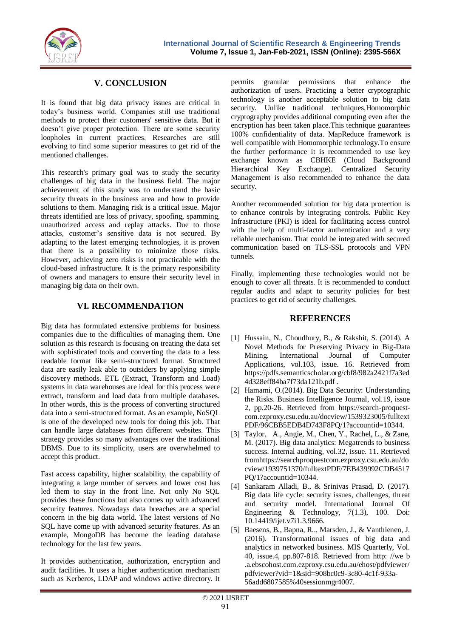

### **V. CONCLUSION**

It is found that big data privacy issues are critical in today's business world. Companies still use traditional methods to protect their customers' sensitive data. But it doesn't give proper protection. There are some security loopholes in current practices. Researches are still evolving to find some superior measures to get rid of the mentioned challenges.

This research's primary goal was to study the security challenges of big data in the business field. The major achievement of this study was to understand the basic security threats in the business area and how to provide solutions to them. Managing risk is a critical issue. Major threats identified are loss of privacy, spoofing, spamming, unauthorized access and replay attacks. Due to those attacks, customer's sensitive data is not secured. By adapting to the latest emerging technologies, it is proven that there is a possibility to minimize those risks. However, achieving zero risks is not practicable with the cloud-based infrastructure. It is the primary responsibility of owners and managers to ensure their security level in managing big data on their own.

#### **VI. RECOMMENDATION**

Big data has formulated extensive problems for business companies due to the difficulties of managing them. One solution as this research is focusing on treating the data set with sophisticated tools and converting the data to a less readable format like semi-structured format. Structured data are easily leak able to outsiders by applying simple discovery methods. ETL (Extract, Transform and Load) systems in data warehouses are ideal for this process were extract, transform and load data from multiple databases. In other words, this is the process of converting structured data into a semi-structured format. As an example, NoSQL is one of the developed new tools for doing this job. That can handle large databases from different websites. This strategy provides so many advantages over the traditional DBMS. Due to its simplicity, users are overwhelmed to accept this product.

Fast access capability, higher scalability, the capability of integrating a large number of servers and lower cost has led them to stay in the front line. Not only No SQL provides these functions but also comes up with advanced security features. Nowadays data breaches are a special concern in the big data world. The latest versions of No SQL have come up with advanced security features. As an example, MongoDB has become the leading database technology for the last few years.

It provides authentication, authorization, encryption and audit facilities. It uses a higher authentication mechanism such as Kerberos, LDAP and windows active directory. It

permits granular permissions that enhance the authorization of users. Practicing a better cryptographic technology is another acceptable solution to big data security. Unlike traditional techniques,Homomorphic cryptography provides additional computing even after the encryption has been taken place.This technique guarantees 100% confidentiality of data. MapReduce framework is well compatible with Homomorphic technology.To ensure the further performance it is recommended to use key exchange known as CBHKE (Cloud Background Hierarchical Key Exchange). Centralized Security Management is also recommended to enhance the data security.

Another recommended solution for big data protection is to enhance controls by integrating controls. Public Key Infrastructure (PKI) is ideal for facilitating access control with the help of multi-factor authentication and a very reliable mechanism. That could be integrated with secured communication based on TLS-SSL protocols and VPN tunnels.

Finally, implementing these technologies would not be enough to cover all threats. It is recommended to conduct regular audits and adapt to security policies for best practices to get rid of security challenges.

#### **REFERENCES**

- [1] Hussain, N., Choudhury, B., & Rakshit, S. (2014). A Novel Methods for Preserving Privacy in Big-Data Mining. International Journal of Computer Applications, vol.103, issue. 16. Retrieved from https://pdfs.semanticscholar.org/cbf8/982a2421f7a3ed 4d328eff84ba7f73da121b.pdf .
- [2] Hamami, O.(2014). Big Data Security: Understanding the Risks. Business Intelligence Journal, vol.19, issue 2, pp.20-26. Retrieved from https://search-proquestcom.ezproxy.csu.edu.au/docview/1539323005/fulltext PDF/96CBB5EDB4D743F8PQ/1?accountid=10344.
- [3] Taylor, A., Angie, M., Chen, Y., Rachel, L., & Zane, M. (2017). Big data analytics: Megatrends to business success. Internal auditing, vol.32, issue. 11. Retrieved fromhttps://searchproquestcom.ezproxy.csu.edu.au/do cview/1939751370/fulltextPDF/7EB439992CDB4517 PQ/1?accountid=10344.
- [4] Sankaram Alladi, B., & Srinivas Prasad, D. (2017). Big data life cycle: security issues, challenges, threat and security model. International Journal Of Engineering & Technology, 7(1.3), 100. Doi: 10.14419/ijet.v7i1.3.9666.
- [5] Baesens, B., Bapna, R.., Marsden, J., & Vanthienen, J. (2016). Transformational issues of big data and analytics in networked business. MIS Quarterly, Vol. 40, issue.4, pp.807-818. Retrieved from http: //we b .a.ebscohost.com.ezproxy.csu.edu.au/ehost/pdfviewer/ pdfviewer?vid=1&sid=908bc0c9-3c80-4c1f-933a-56add6807585%40sessionmgr4007.